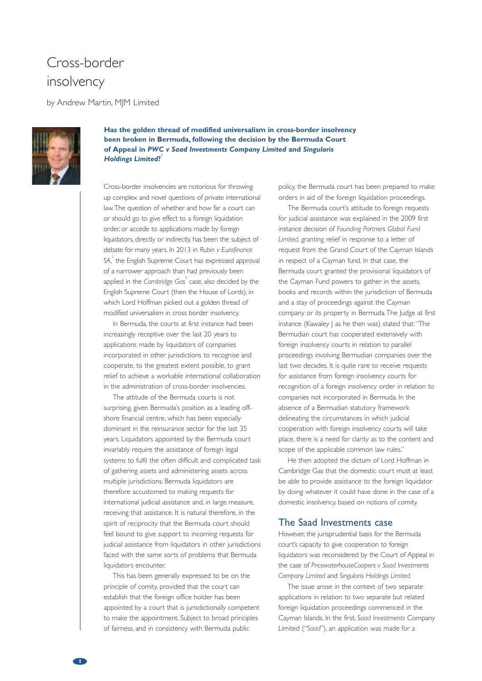## Cross-border insolvency

by Andrew Martin, MJM Limited



**Has the golden thread of modified universalism in cross-border insolvency been broken in Bermuda, following the decision by the Bermuda Court of Appeal in** *PWC v Saad Investments Company Limited* **and** *Singularis Holdings Limited***? 1**

Cross-border insolvencies are notorious for throwing up complex and novel questions of private international law.The question of whether and how far a court can or should go to give effect to a foreign liquidation order, or accede to applications made by foreign liquidators, directly or indirectly, has been the subject of debate for many years. In 2013 in *Rubin v Eurofinance SA*, 2 the English Supreme Court has expressed approval of a narrower approach than had previously been applied in the *Cambridge Gas* 3 case, also decided by the English Supreme Court (then the House of Lords), in which Lord Hoffman picked out a golden thread of modified universalism in cross border insolvency.

In Bermuda, the courts at first instance had been increasingly receptive over the last 20 years to applications made by liquidators of companies incorporated in other jurisdictions to recognise and cooperate, to the greatest extent possible, to grant relief to achieve a workable international collaboration in the administration of cross-border insolvencies.

The attitude of the Bermuda courts is not surprising, given Bermuda's position as a leading offshore financial centre, which has been especially dominant in the reinsurance sector for the last 35 years. Liquidators appointed by the Bermuda court invariably require the assistance of foreign legal systems to fulfil the often difficult and complicated task of gathering assets and administering assets across multiple jurisdictions. Bermuda liquidators are therefore accustomed to making requests for international judicial assistance and, in large measure, receiving that assistance. It is natural therefore, in the spirit of reciprocity that the Bermuda court should feel bound to give support to incoming requests for judicial assistance from liquidators in other jurisdictions faced with the same sorts of problems that Bermuda liquidators encounter.

This has been generally expressed to be on the principle of comity, provided that the court can establish that the foreign office holder has been appointed by a court that is jurisdictionally competent to make the appointment. Subject to broad principles of fairness, and in consistency with Bermuda public

policy, the Bermuda court has been prepared to make orders in aid of the foreign liquidation proceedings.

The Bermuda court's attitude to foreign requests for judicial assistance was explained in the 2009 first instance decision of *Founding Partners Global Fund Limited*, granting relief in response to a letter of request from the Grand Court of the Cayman Islands in respect of a Cayman fund. In that case, the Bermuda court granted the provisional liquidators of the Cayman Fund powers to gather in the assets, books and records within the jurisdiction of Bermuda and a stay of proceedings against the Cayman company or its property in Bermuda.The Judge at first instance (Kawaley J as he then was) stated that:"The Bermudian court has cooperated extensively with foreign insolvency courts in relation to parallel proceedings involving Bermudian companies over the last two decades. It is quite rare to receive requests for assistance from foreign insolvency courts for recognition of a foreign insolvency order in relation to companies not incorporated in Bermuda. In the absence of a Bermudian statutory framework delineating the circumstances in which judicial cooperation with foreign insolvency courts will take place, there is a need for clarity as to the content and scope of the applicable common law rules."

He then adopted the dictum of Lord Hoffman in Cambridge Gas that the domestic court must at least be able to provide assistance to the foreign liquidator by doing whatever it could have done in the case of a domestic insolvency, based on notions of comity.

## The Saad Investments case

However, the jurisprudential basis for the Bermuda court's capacity to give cooperation to foreign liquidators was reconsidered by the Court of Appeal in the case of *PricewaterhouseCoopers v Saad Investments Company Limited* and *Singularis Holdings Limited.*

The issue arose in the context of two separate applications in relation to two separate but related foreign liquidation proceedings commenced in the Cayman Islands. In the first, *Saad Investments* Company Limited ("*Saad*"), an application was made for a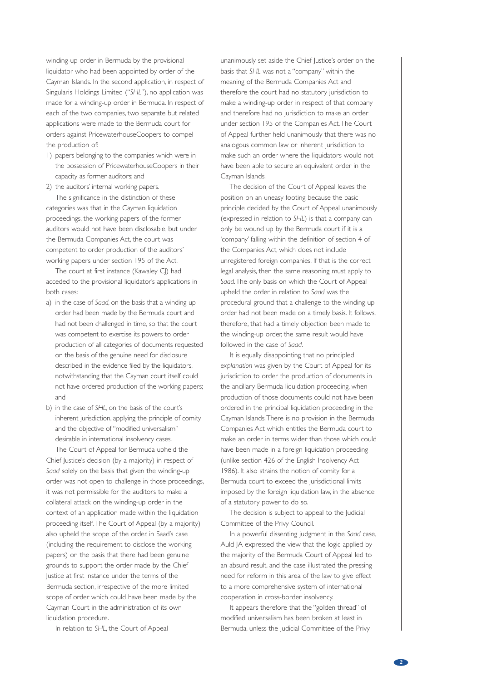winding-up order in Bermuda by the provisional liquidator who had been appointed by order of the Cayman Islands. In the second application, in respect of Singularis Holdings Limited ("*SHL*"), no application was made for a winding-up order in Bermuda. In respect of each of the two companies, two separate but related applications were made to the Bermuda court for orders against PricewaterhouseCoopers to compel the production of:

1) papers belonging to the companies which were in the possession of PricewaterhouseCoopers in their capacity as former auditors; and

2) the auditors' internal working papers. The significance in the distinction of these categories was that in the Cayman liquidation proceedings, the working papers of the former auditors would not have been disclosable, but under the Bermuda Companies Act, the court was competent to order production of the auditors' working papers under section 195 of the Act.

The court at first instance (Kawaley CI) had acceded to the provisional liquidator's applications in both cases:

- a) in the case of *Saad*, on the basis that a winding-up order had been made by the Bermuda court and had not been challenged in time, so that the court was competent to exercise its powers to order production of all categories of documents requested on the basis of the genuine need for disclosure described in the evidence filed by the liquidators, notwithstanding that the Cayman court itself could not have ordered production of the working papers; and
- b) in the case of *SHL*, on the basis of the court's inherent jurisdiction, applying the principle of comity and the objective of"modified universalism" desirable in international insolvency cases.

The Court of Appeal for Bermuda upheld the Chief Justice's decision (by a majority) in respect of *Saad* solely on the basis that given the winding-up order was not open to challenge in those proceedings, it was not permissible for the auditors to make a collateral attack on the winding-up order in the context of an application made within the liquidation proceeding itself.The Court of Appeal (by a majority) also upheld the scope of the order, in Saad's case (including the requirement to disclose the working papers) on the basis that there had been genuine grounds to support the order made by the Chief Justice at first instance under the terms of the Bermuda section, irrespective of the more limited scope of order which could have been made by the Cayman Court in the administration of its own liquidation procedure.

In relation to *SHL*, the Court of Appeal

unanimously set aside the Chief Justice's order on the basis that *SHL* was not a "company" within the meaning of the Bermuda Companies Act and therefore the court had no statutory jurisdiction to make a winding-up order in respect of that company and therefore had no jurisdiction to make an order under section 195 of the Companies Act.The Court of Appeal further held unanimously that there was no analogous common law or inherent jurisdiction to make such an order where the liquidators would not have been able to secure an equivalent order in the Cayman Islands.

The decision of the Court of Appeal leaves the position on an uneasy footing because the basic principle decided by the Court of Appeal unanimously (expressed in relation to *SHL*) is that a company can only be wound up by the Bermuda court if it is a 'company' falling within the definition of section 4 of the Companies Act, which does not include unregistered foreign companies. If that is the correct legal analysis, then the same reasoning must apply to *Saad*.The only basis on which the Court of Appeal upheld the order in relation to *Saad* was the procedural ground that a challenge to the winding-up order had not been made on a timely basis. It follows, therefore, that had a timely objection been made to the winding-up order, the same result would have followed in the case of *Saad*.

It is equally disappointing that no principled *explanation* was given by the Court of Appeal for its jurisdiction to order the production of documents in the ancillary Bermuda liquidation proceeding, when production of those documents could not have been ordered in the principal liquidation proceeding in the Cayman Islands.There is no provision in the Bermuda Companies Act which entitles the Bermuda court to make an order in terms wider than those which could have been made in a foreign liquidation proceeding (unlike section 426 of the English Insolvency Act 1986). It also strains the notion of comity for a Bermuda court to exceed the jurisdictional limits imposed by the foreign liquidation law, in the absence of a statutory power to do so.

The decision is subject to appeal to the Judicial Committee of the Privy Council.

In a powerful dissenting judgment in the *Saad* case, Auld JA expressed the view that the logic applied by the majority of the Bermuda Court of Appeal led to an absurd result, and the case illustrated the pressing need for reform in this area of the law to give effect to a more comprehensive system of international cooperation in cross-border insolvency.

It appears therefore that the "golden thread" of modified universalism has been broken at least in Bermuda, unless the Judicial Committee of the Privy